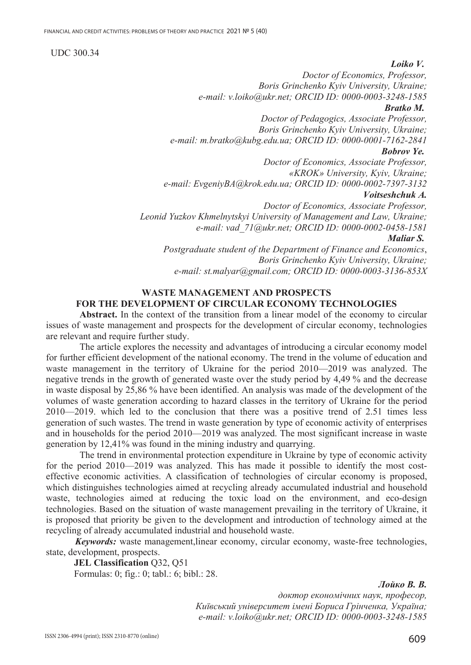## UDC 300.34

### *Loiko V.*

*Doctor of Economics, Professor, Boris Grinchenko Kyiv University, Ukraine; e-mail: v.loiko@ukr.net; ORCID ID: 0000-0003-3248-1585 Bratko M.* 

*Doctor of Pedagogics, Associate Professor, Boris Grinchenko Kyiv University, Ukraine; e-mail: m.bratko@kubg.edu.ua; ORCID ID: 0000-0001-7162-2841* 

## *Bobrov Ye.*

*Doctor of Economics, Associate Professor, «KROK» University, Kyiv, Ukraine; e-mail: EvgeniyBA@krok.edu.ua; ORCID ID: 0000-0002-7397-3132 Voitseshchuk Ⱥ.* 

*Doctor of Economics, Associate Professor, Leonid Yuzkov Khmelnytskyi University of Management and Law, Ukraine; e-mail: vad\_71@ukr.net; ORCID ID: 0000-0002-0458-1581 Maliar S. Postgraduate student of the Department of Finance and Economics*, *Boris Grinchenko Kyiv University, Ukraine;* 

*e-mail: st.malyar@gmail.com; ORCID ID: 0000-0003-3136-853X* 

## **WASTE MANAGEMENT AND PROSPECTS FOR THE DEVELOPMENT OF CIRCULAR ECONOMY TECHNOLOGIES**

**Abstract.** In the context of the transition from a linear model of the economy to circular issues of waste management and prospects for the development of circular economy, technologies are relevant and require further study.

The article explores the necessity and advantages of introducing a circular economy model for further efficient development of the national economy. The trend in the volume of education and waste management in the territory of Ukraine for the period 2010—2019 was analyzed. The negative trends in the growth of generated waste over the study period by 4,49 % and the decrease in waste disposal by 25,86 % have been identified. An analysis was made of the development of the volumes of waste generation according to hazard classes in the territory of Ukraine for the period 2010—2019. which led to the conclusion that there was a positive trend of 2.51 times less generation of such wastes. The trend in waste generation by type of economic activity of enterprises and in households for the period 2010—2019 was analyzed. The most significant increase in waste generation by 12,41% was found in the mining industry and quarrying.

The trend in environmental protection expenditure in Ukraine by type of economic activity for the period 2010—2019 was analyzed. This has made it possible to identify the most costeffective economic activities. A classification of technologies of circular economy is proposed, which distinguishes technologies aimed at recycling already accumulated industrial and household waste, technologies aimed at reducing the toxic load on the environment, and eco-design technologies. Based on the situation of waste management prevailing in the territory of Ukraine, it is proposed that priority be given to the development and introduction of technology aimed at the recycling of already accumulated industrial and household waste.

*Keywords:* waste management,linear economy, circular economy, waste-free technologies, state, development, prospects.

**JEL Classɿfɿcatɿon** Q32, Q51 Formulas: 0; fig.: 0; tabl.: 6; bibl.: 28.

 $J$ *ιούκο Β.Β.* 

 $\partial$ октор економічних наук, професор, Київський університет імені Бориса Грінченка, Україна; *e-mail: v.loiko@ukr.net; ORCID ID: 0000-0003-3248-1585*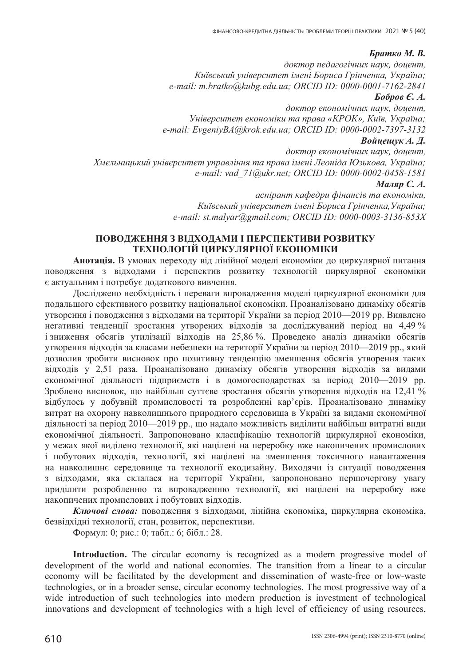# *Братко М. В.*

 $\partial$ октор педагогічних наук, доцент, Київський університет імені Бориса Грінченка, Україна; *e-mail: m.bratko@kubg.edu.ua; ORCID ID: 0000-0001-7162-2841*   $\bm{E}$ *obpob*  $\bm{\epsilon}$ *. A.* 

 $\partial$ *октор економічних наук, доцент, ɍɧɿɜɟɪɫɢɬɟɬ ɟɤɨɧɨɦɿɤɢ ɬɚ ɩɪɚɜɚ «ɄɊɈɄ», Ʉɢʀɜ, ɍɤɪɚʀɧɚ; e-mail: EvgeniyBA@krok.edu.ua; ORCID ID: 0000-0002-7397-3132* 

## **Войцещук А. Д.**

 $\partial$ *октор економічних наук, доцент,*  $X$ мельницький університет управління та права імені Леоніда Юзькова, Україна; *e-mail: vad\_71@ukr.net; ORCID ID: 0000-0002-0458-1581 Маляр С. А.* 

> *ɚɫɩɿɪɚɧɬ ɤɚɮɟɞɪɢ ɮɿɧɚɧɫɿɜ ɬɚ ɟɤɨɧɨɦɿɤɢ,*  Київський університет імені Бориса Грінченка, Україна; *e-mail: st.malyar@gmail.com; ORCID ID: 0000-0003-3136-853X*

## **ɉɈȼɈȾɀȿɇɇə Ɂ ȼȱȾɏɈȾȺɆɂ ȱ ɉȿɊɋɉȿɄɌɂȼɂ ɊɈɁȼɂɌɄɍ ТЕХНОЛОГІЙ ЦИРКУЛЯРНОЇ ЕКОНОМІКИ**

Анотація. В умовах переходу від лінійної моделі економіки до циркулярної питання поводження з відходами і перспектив розвитку технологій циркулярної економіки є актуальним і потребує додаткового вивчення.

Досліджено необхідність і переваги впровадження моделі циркулярної економіки для подальшого ефективного розвитку національної економіки. Проаналізовано динаміку обсягів утворення і поводження з відходами на території України за період 2010—2019 рр. Виявлено негативні тенденції зростання утворених відходів за досліджуваний період на 4.49 % і зниження обсягів утилізації відходів на 25,86 %. Проведено аналіз динаміки обсягів утворення відходів за класами небезпеки на території України за період 2010—2019 рр., який дозволив зробити висновок про позитивну тенденцію зменшення обсягів утворення таких відходів у 2,51 раза. Проаналізовано динаміку обсягів утворення відходів за видами економічної діяльності підприємств і в домогосподарствах за період 2010—2019 рр. Зроблено висновок, що найбільш суттєве зростання обсягів утворення відходів на 12,41 % відбулось у добувній промисловості та розробленні кар'єрів. Проаналізовано динаміку витрат на охорону навколишнього природного середовища в Україні за видами економічної діяльності за період 2010—2019 рр., що надало можливість виділити найбільш витратні види економічної діяльності. Запропоновано класифікацію технологій циркулярної економіки, у межах якої виділено технології, які націлені на переробку вже накопичених промислових і побутових відходів, технології, які націлені на зменшення токсичного навантаження на навколишнє середовище та технології екодизайну. Виходячи із ситуації поводження з відходами, яка склалася на території України, запропоновано першочергову увагу приділити розробленню та впровадженню технології, які націлені на переробку вже накопичених промислових і побутових відходів.

Ключові слова: поводження з відходами, лінійна економіка, циркулярна економіка, безвідхідні технології, стан, розвиток, перспективи.

Формул: 0; рис.: 0; табл.: 6; бібл.: 28.

Introduction. The circular economy is recognized as a modern progressive model of development of the world and national economies. The transition from a linear to a circular economy will be facilitated by the development and dissemination of waste-free or low-waste technologies, or in a broader sense, circular economy technologies. The most progressive way of a wide introduction of such technologies into modern production is investment of technological innovations and development of technologies with a high level of efficiency of using resources,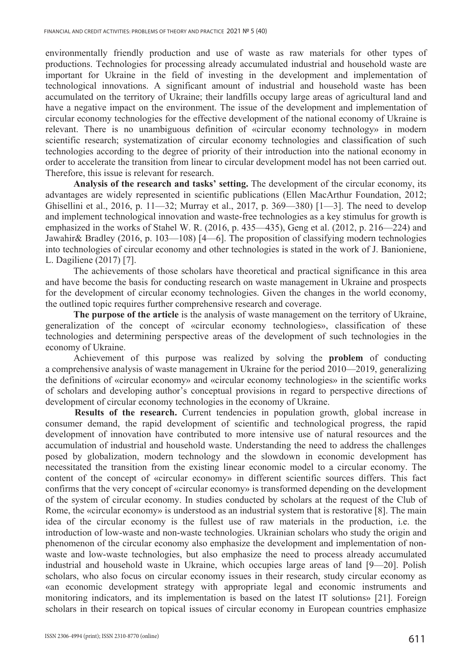environmentally friendly production and use of waste as raw materials for other types of productions. Technologies for processing already accumulated industrial and household waste are important for Ukraine in the field of investing in the development and implementation of technological innovations. A significant amount of industrial and household waste has been accumulated on the territory of Ukraine; their landfills occupy large areas of agricultural land and have a negative impact on the environment. The issue of the development and implementation of circular economy technologies for the effective development of the national economy of Ukraine is relevant. There is no unambiguous definition of «circular economy technology» in modern scientific research; systematization of circular economy technologies and classification of such technologies according to the degree of priority of their introduction into the national economy in order to accelerate the transition from linear to circular development model has not been carried out. Therefore, this issue is relevant for research.

**Analysis of the research and tasks' setting.** The development of the circular economy, its advantages are widely represented in scientific publications (Ellen MacArthur Foundation, 2012; Ghisellini et al., 2016, p. 11—32; Murray et al., 2017, p. 369—380) [1—3]. The need to develop and implement technological innovation and waste-free technologies as a key stimulus for growth is emphasized in the works of Stahel W. R. (2016, p. 435—435), Geng et al. (2012, p. 216—224) and Jawahir& Bradley (2016, p. 103—108) [4—6]. The proposition of classifying modern technologies into technologies of circular economy and other technologies is stated in the work of J. Banioniene, L. Dagiliene (2017) [7].

The achievements of those scholars have theoretical and practical significance in this area and have become the basis for conducting research on waste management in Ukraine and prospects for the development of circular economy technologies. Given the changes in the world economy, the outlined topic requires further comprehensive research and coverage.

**The purpose of the article** is the analysis of waste management on the territory of Ukraine, generalization of the concept of «circular economy technologies», classification of these technologies and determining perspective areas of the development of such technologies in the economy of Ukraine.

Achievement of this purpose was realized by solving the **problem** of conducting a comprehensive analysis of waste management in Ukraine for the period 2010—2019, generalizing the definitions of «circular economy» and «circular economy technologies» in the scientific works of scholars and developing author's conceptual provisions in regard to perspective directions of development of circular economy technologies in the economy of Ukraine.

**Results of the research.** Current tendencies in population growth, global increase in consumer demand, the rapid development of scientific and technological progress, the rapid development of innovation have contributed to more intensive use of natural resources and the accumulation of industrial and household waste. Understanding the need to address the challenges posed by globalization, modern technology and the slowdown in economic development has necessitated the transition from the existing linear economic model to a circular economy. The content of the concept of «circular economy» in different scientific sources differs. This fact confirms that the very concept of «circular economy» is transformed depending on the development of the system of circular economy. In studies conducted by scholars at the request of the Club of Rome, the «circular economy» is understood as an industrial system that is restorative [8]. The main idea of the circular economy is the fullest use of raw materials in the production, i.e. the introduction of low-waste and non-waste technologies. Ukrainian scholars who study the origin and phenomenon of the circular economy also emphasize the development and implementation of nonwaste and low-waste technologies, but also emphasize the need to process already accumulated industrial and household waste in Ukraine, which occupies large areas of land [9—20]. Polish scholars, who also focus on circular economy issues in their research, study circular economy as «an economic development strategy with appropriate legal and economic instruments and monitoring indicators, and its implementation is based on the latest IT solutions» [21]. Foreign scholars in their research on topical issues of circular economy in European countries emphasize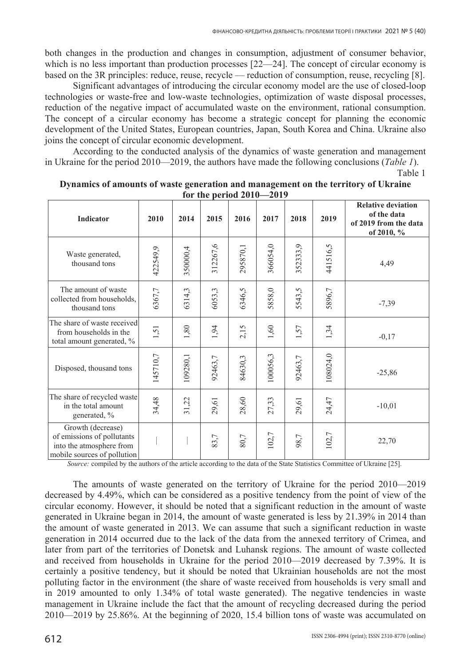both changes in the production and changes in consumption, adjustment of consumer behavior, which is no less important than production processes [22—24]. The concept of circular economy is based on the 3R principles: reduce, reuse, recycle — reduction of consumption, reuse, recycling [8].

Significant advantages of introducing the circular economy model are the use of closed-loop technologies or waste-free and low-waste technologies, optimization of waste disposal processes, reduction of the negative impact of accumulated waste on the environment, rational consumption. The concept of a circular economy has become a strategic concept for planning the economic development of the United States, European countries, Japan, South Korea and China. Ukraine also joins the concept of circular economic development.

According to the conducted analysis of the dynamics of waste generation and management in Ukraine for the period 2010—2019, the authors have made the following conclusions (*Table 1*).

Table 1

|                                                                                                            | TOT THE PERIOU SURV<br>= v 1 / |          |          |          |          |          |          |                                                                                 |
|------------------------------------------------------------------------------------------------------------|--------------------------------|----------|----------|----------|----------|----------|----------|---------------------------------------------------------------------------------|
| Indicator                                                                                                  | 2010                           | 2014     | 2015     | 2016     | 2017     | 2018     | 2019     | <b>Relative deviation</b><br>of the data<br>of 2019 from the data<br>of 2010, % |
| Waste generated,<br>thousand tons                                                                          | 422549,9                       | 350000,4 | 312267,6 | 295870,1 | 366054,0 | 352333,9 | 441516,5 | 4,49                                                                            |
| The amount of waste<br>collected from households,<br>thousand tons                                         | 6367,7                         | 6314,3   | 6053,3   | 6346,5   | 5858,0   | 5543,5   | 5896,7   | $-7,39$                                                                         |
| The share of waste received<br>from households in the<br>total amount generated, %                         | 1,51                           | 1,80     | 1,94     | 2,15     | 1,60     | 1,57     | 1,34     | $-0,17$                                                                         |
| Disposed, thousand tons                                                                                    | 145710,7                       | 109280,1 | 92463,7  | 84630,3  | 100056,3 | 92463,7  | 108024,0 | $-25,86$                                                                        |
| The share of recycled waste<br>in the total amount<br>generated, %                                         | 34,48                          | 31,22    | 29,61    | 28,60    | 27,33    | 29,61    | 24,47    | $-10,01$                                                                        |
| Growth (decrease)<br>of emissions of pollutants<br>into the atmosphere from<br>mobile sources of pollution |                                |          | 83,7     | 80,7     | $102,7$  | 98,7     | 102,7    | 22,70                                                                           |

**Dynamics of amounts of waste generation and management on the territory of Ukraine for the period 2010—2019** 

*Source:* compiled by the authors of the article according to the data of the State Statistics Committee of Ukraine [25].

The amounts of waste generated on the territory of Ukraine for the period 2010—2019 decreased by 4.49%, which can be considered as a positive tendency from the point of view of the circular economy. However, it should be noted that a significant reduction in the amount of waste generated in Ukraine began in 2014, the amount of waste generated is less by 21.39% in 2014 than the amount of waste generated in 2013. We can assume that such a significant reduction in waste generation in 2014 occurred due to the lack of the data from the annexed territory of Crimea, and later from part of the territories of Donetsk and Luhansk regions. The amount of waste collected and received from households in Ukraine for the period 2010—2019 decreased by 7.39%. It is certainly a positive tendency, but it should be noted that Ukrainian households are not the most polluting factor in the environment (the share of waste received from households is very small and in 2019 amounted to only 1.34% of total waste generated). The negative tendencies in waste management in Ukraine include the fact that the amount of recycling decreased during the period 2010—2019 by 25.86%. At the beginning of 2020, 15.4 billion tons of waste was accumulated on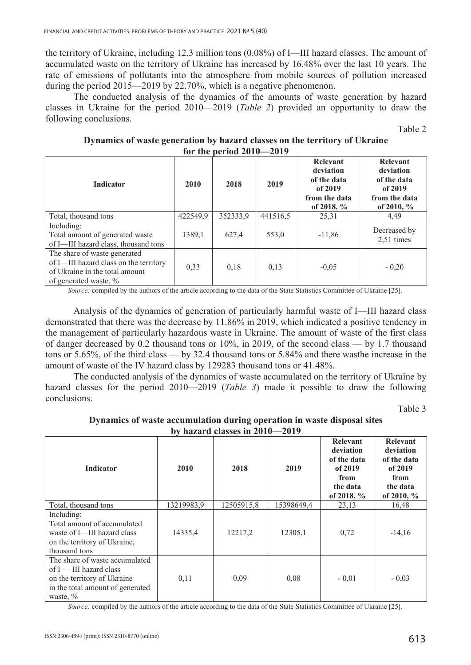the territory of Ukraine, including 12.3 million tons (0.08%) of I—III hazard classes. The amount of accumulated waste on the territory of Ukraine has increased by 16.48% over the last 10 years. The rate of emissions of pollutants into the atmosphere from mobile sources of pollution increased during the period 2015—2019 by 22.70%, which is a negative phenomenon.

The conducted analysis of the dynamics of the amounts of waste generation by hazard classes in Ukraine for the period 2010—2019 (*Table 2*) provided an opportunity to draw the following conclusions.

Table 2

| Dynamics of waste generation by hazard classes on the territory of Ukraine |                            |  |  |
|----------------------------------------------------------------------------|----------------------------|--|--|
|                                                                            | for the period $2010-2019$ |  |  |

| <b>Indicator</b>                                                                                                                  | 2010     | 2018     | 2019     | Relevant<br>deviation<br>of the data<br>of 2019<br>from the data<br>of 2018, $\%$ | <b>Relevant</b><br>deviation<br>of the data<br>of 2019<br>from the data<br>of 2010, $%$ |
|-----------------------------------------------------------------------------------------------------------------------------------|----------|----------|----------|-----------------------------------------------------------------------------------|-----------------------------------------------------------------------------------------|
| Total, thousand tons                                                                                                              | 422549,9 | 352333,9 | 441516.5 | 25,31                                                                             | 4,49                                                                                    |
| Including:<br>Total amount of generated waste<br>of I-III hazard class, thousand tons                                             | 1389,1   | 627,4    | 553,0    | $-11,86$                                                                          | Decreased by<br>$2,51$ times                                                            |
| The share of waste generated<br>of I-III hazard class on the territory<br>of Ukraine in the total amount<br>of generated waste, % | 0,33     | 0,18     | 0,13     | $-0,05$                                                                           | $-0,20$                                                                                 |

*Source:* compiled by the authors of the article according to the data of the State Statistics Committee of Ukraine [25].

Analysis of the dynamics of generation of particularly harmful waste of I—III hazard class demonstrated that there was the decrease by 11.86% in 2019, which indicated a positive tendency in the management of particularly hazardous waste in Ukraine. The amount of waste of the first class of danger decreased by 0.2 thousand tons or 10%, in 2019, of the second class — by 1.7 thousand tons or 5.65%, of the third class — by 32.4 thousand tons or 5.84% and there wasthe increase in the amount of waste of the IV hazard class by 129283 thousand tons or 41.48%.

The conducted analysis of the dynamics of waste accumulated on the territory of Ukraine by hazard classes for the period 2010—2019 (*Table 3*) made it possible to draw the following conclusions.

Table 3

| Dynamics of waste accumulation during operation in waste disposal sites |  |
|-------------------------------------------------------------------------|--|
| by hazard classes in $2010 - 2019$                                      |  |

|                                                                                                                                               |            | $0\sqrt{12}$ in Casses in $2010 - 2017$ |            |                                                                                            |                                                                                            |
|-----------------------------------------------------------------------------------------------------------------------------------------------|------------|-----------------------------------------|------------|--------------------------------------------------------------------------------------------|--------------------------------------------------------------------------------------------|
| <b>Indicator</b>                                                                                                                              | 2010       | 2018                                    | 2019       | <b>Relevant</b><br>deviation<br>of the data<br>of 2019<br>from<br>the data<br>of 2018, $%$ | <b>Relevant</b><br>deviation<br>of the data<br>of 2019<br>from<br>the data<br>of 2010, $%$ |
| Total, thousand tons                                                                                                                          | 13219983,9 | 12505915,8                              | 15398649,4 | 23,13                                                                                      | 16,48                                                                                      |
| Including:<br>Total amount of accumulated<br>waste of I—III hazard class<br>on the territory of Ukraine,<br>thousand tons                     | 14335,4    | 12217,2                                 | 12305,1    | 0,72                                                                                       | $-14,16$                                                                                   |
| The share of waste accumulated<br>of $I$ — III hazard class<br>on the territory of Ukraine<br>in the total amount of generated<br>waste, $\%$ | 0,11       | 0,09                                    | 0,08       | $-0,01$                                                                                    | $-0,03$                                                                                    |

*Source:* compiled by the authors of the article according to the data of the State Statistics Committee of Ukraine [25].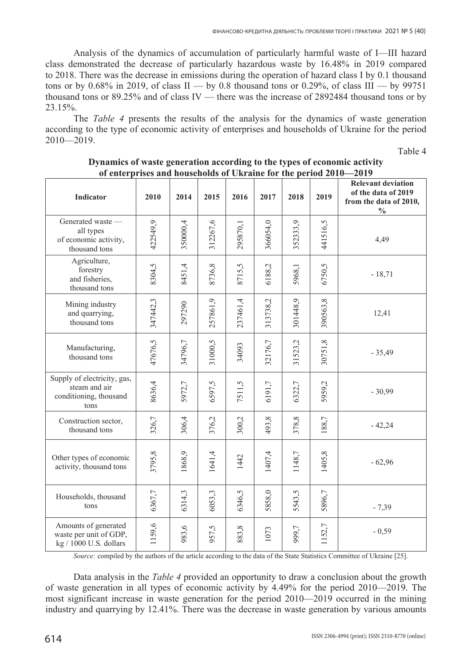Analysis of the dynamics of accumulation of particularly harmful waste of I—III hazard class demonstrated the decrease of particularly hazardous waste by 16.48% in 2019 compared to 2018. There was the decrease in emissions during the operation of hazard class I by 0.1 thousand tons or by 0.68% in 2019, of class  $II - by 0.8$  thousand tons or 0.29%, of class  $III - by 99751$ thousand tons or 89.25% and of class IV — there was the increase of 2892484 thousand tons or by 23.15%.

The *Table 4* presents the results of the analysis for the dynamics of waste generation according to the type of economic activity of enterprises and households of Ukraine for the period  $2010 - 2019$ .

Table 4

| Indicator                                                                      | 2010     | 2014     | 2015     | 2016     | 2017     | 2018     | 2019     | <b>Relevant deviation</b><br>of the data of 2019<br>from the data of 2010,<br>$\frac{0}{0}$ |
|--------------------------------------------------------------------------------|----------|----------|----------|----------|----------|----------|----------|---------------------------------------------------------------------------------------------|
| Generated waste -<br>all types<br>of economic activity,<br>thousand tons       | 422549,9 | 350000,4 | 312267,6 | 295870,1 | 366054,0 | 352333,9 | 441516,5 | 4,49                                                                                        |
| Agriculture,<br>forestry<br>and fisheries,<br>thousand tons                    | 8304,5   | 8451,4   | 8736,8   | 8715,5   | 6188,2   | 5968,1   | 6750,5   | $-18,71$                                                                                    |
| Mining industry<br>and quarrying,<br>thousand tons                             | 347442,3 | 297290   | 257861,9 | 237461,4 | 313738,2 | 301448,9 | 390563,8 | 12,41                                                                                       |
| Manufacturing,<br>thousand tons                                                | 47676,5  | 34796,7  | 31000,5  | 34093    | 32176,7  | 31523,2  | 30751,8  | $-35,49$                                                                                    |
| Supply of electricity, gas,<br>steam and air<br>conditioning, thousand<br>tons | 8636,4   | 5972,7   | 6597,5   | 7511,5   | 6191,7   | 6322,7   | 5959,2   | $-30,99$                                                                                    |
| Construction sector,<br>thousand tons                                          | 326,7    | 306,4    | 376,2    | 300,2    | 493,8    | 378,8    | 188,7    | $-42,24$                                                                                    |
| Other types of economic<br>activity, thousand tons                             | 3795,8   | 1868,9   | 1641,4   | 1442     | 1407,4   | 1148,7   | 1405,8   | $-62,96$                                                                                    |
| Households, thousand<br>tons                                                   | 6367,7   | 6314,3   | 6053,3   | 6346,5   | 5858,0   | 5543,5   | 5896,7   | $-7,39$                                                                                     |
| Amounts of generated<br>waste per unit of GDP,<br>kg / 1000 U.S. dollars       | 1159,6   | 983,6    | 957,5    | 883,8    | 1073     | 999,7    | 1152,7   | $-0,59$                                                                                     |

## **Dynamics of waste generation according to the types of economic activity of enterprises and households of Ukraine for the period 2010—2019**

*Source:* compiled by the authors of the article according to the data of the State Statistics Committee of Ukraine [25].

Data analysis in the *Table 4* provided an opportunity to draw a conclusion about the growth of waste generation in all types of economic activity by 4.49% for the period 2010—2019. The most significant increase in waste generation for the period 2010—2019 occurred in the mining industry and quarrying by 12.41%. There was the decrease in waste generation by various amounts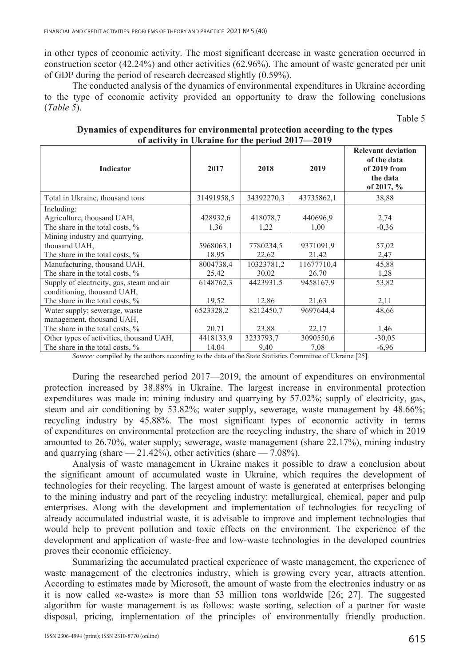in other types of economic activity. The most significant decrease in waste generation occurred in construction sector (42.24%) and other activities (62.96%). The amount of waste generated per unit of GDP during the period of research decreased slightly (0.59%).

The conducted analysis of the dynamics of environmental expenditures in Ukraine according to the type of economic activity provided an opportunity to draw the following conclusions (*Table 5*).

**Indicator** 2017 2018 2019 **Relevant deviation of the data of 2019 from the data of 2017, %**  Total in Ukraine, thousand tons 31491958,5 34392270,3 43735862,1 38,88 Including: Agriculture, thousand UAH, The share in the total costs,  $\%$ 428932,6 1,36 418078,7 1,22 440696,9 1,00 2,74 -0,36 Mining industry and quarrying, thousand UAH, The share in the total costs,  $\%$ 5968063,1 18,95 7780234,5 22,62 9371091,9 21,42 57,02 2,47 Manufacturing, thousand UAH, The share in the total costs,  $\%$ 8004738,4 25,42 10323781,2 30,02 11677710,4 26,70 45,88 1,28 Supply of electricity, gas, steam and air conditioning, thousand UAH, The share in the total costs,  $\%$ 6148762,3 19,52 4423931,5 12,86 9458167,9 21,63 53,82 2,11 Water supply; sewerage, waste management, thousand UAH, The share in the total costs, % 6523328,2 20,71 8212450,7 23,88 9697644,4 22,17 48,66 1,46 Other types of activities, thousand UAH, The share in the total costs, % 4418133,9 14,04 3233793,7 9,40 3090550,6 7,08  $-30,05$ -6,96

**Dynamics of expenditures for environmental protection according to the types of activity in Ukraine for the period 2017—2019** 

*Source:* compiled by the authors according to the data of the State Statistics Committee of Ukraine [25].

During the researched period 2017—2019, the amount of expenditures on environmental protection increased by 38.88% in Ukraine. The largest increase in environmental protection expenditures was made in: mining industry and quarrying by 57.02%; supply of electricity, gas, steam and air conditioning by 53.82%; water supply, sewerage, waste management by 48.66%; recycling industry by 45.88%. The most significant types of economic activity in terms of expenditures on environmental protection are the recycling industry, the share of which in 2019 amounted to 26.70%, water supply; sewerage, waste management (share 22.17%), mining industry and quarrying (share  $-21.42\%$ ), other activities (share  $-7.08\%$ ).

Analysis of waste management in Ukraine makes it possible to draw a conclusion about the significant amount of accumulated waste in Ukraine, which requires the development of technologies for their recycling. The largest amount of waste is generated at enterprises belonging to the mining industry and part of the recycling industry: metallurgical, chemical, paper and pulp enterprises. Along with the development and implementation of technologies for recycling of already accumulated industrial waste, it is advisable to improve and implement technologies that would help to prevent pollution and toxic effects on the environment. The experience of the development and application of waste-free and low-waste technologies in the developed countries proves their economic efficiency.

Summarizing the accumulated practical experience of waste management, the experience of waste management of the electronics industry, which is growing every year, attracts attention. According to estimates made by Microsoft, the amount of waste from the electronics industry or as it is now called «e-waste» is more than 53 million tons worldwide [26; 27]. The suggested algorithm for waste management is as follows: waste sorting, selection of a partner for waste disposal, pricing, implementation of the principles of environmentally friendly production.

Table 5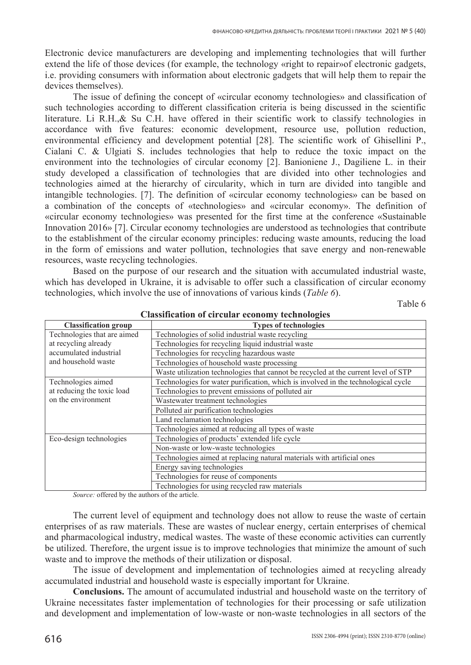Electronic device manufacturers are developing and implementing technologies that will further extend the life of those devices (for example, the technology «right to repair»of electronic gadgets, i.e. providing consumers with information about electronic gadgets that will help them to repair the devices themselves).

The issue of defining the concept of «circular economy technologies» and classification of such technologies according to different classification criteria is being discussed in the scientific literature. Li R.H.,& Su C.H. have offered in their scientific work to classify technologies in accordance with five features: economic development, resource use, pollution reduction, environmental efficiency and development potential [28]. The scientific work of Ghisellini P., Cialani C. & Ulgiati S. includes technologies that help to reduce the toxic impact on the environment into the technologies of circular economy [2]. Banioniene J., Dagiliene L. in their study developed a classification of technologies that are divided into other technologies and technologies aimed at the hierarchy of circularity, which in turn are divided into tangible and intangible technologies. [7]. The definition of «circular economy technologies» can be based on a combination of the concepts of «technologies» and «circular economy». The definition of «circular economy technologies» was presented for the first time at the conference «Sustainable Innovation 2016» [7]. Circular economy technologies are understood as technologies that contribute to the establishment of the circular economy principles: reducing waste amounts, reducing the load in the form of emissions and water pollution, technologies that save energy and non-renewable resources, waste recycling technologies.

Based on the purpose of our research and the situation with accumulated industrial waste, which has developed in Ukraine, it is advisable to offer such a classification of circular economy technologies, which involve the use of innovations of various kinds (*Table 6*).

Table 6

| Classification of Chicalal Cconomy Rechnologies |                                                                                    |  |  |  |  |  |
|-------------------------------------------------|------------------------------------------------------------------------------------|--|--|--|--|--|
| <b>Classification group</b>                     | <b>Types of technologies</b>                                                       |  |  |  |  |  |
| Technologies that are aimed                     | Technologies of solid industrial waste recycling                                   |  |  |  |  |  |
| at recycling already                            | Technologies for recycling liquid industrial waste                                 |  |  |  |  |  |
| accumulated industrial                          | Technologies for recycling hazardous waste                                         |  |  |  |  |  |
| and household waste                             | Technologies of household waste processing                                         |  |  |  |  |  |
|                                                 | Waste utilization technologies that cannot be recycled at the current level of STP |  |  |  |  |  |
| Technologies aimed                              | Technologies for water purification, which is involved in the technological cycle  |  |  |  |  |  |
| at reducing the toxic load                      | Technologies to prevent emissions of polluted air                                  |  |  |  |  |  |
| on the environment                              | Wastewater treatment technologies                                                  |  |  |  |  |  |
|                                                 | Polluted air purification technologies                                             |  |  |  |  |  |
|                                                 | Land reclamation technologies                                                      |  |  |  |  |  |
|                                                 | Technologies aimed at reducing all types of waste                                  |  |  |  |  |  |
| Eco-design technologies                         | Technologies of products' extended life cycle                                      |  |  |  |  |  |
|                                                 | Non-waste or low-waste technologies                                                |  |  |  |  |  |
|                                                 | Technologies aimed at replacing natural materials with artificial ones             |  |  |  |  |  |
|                                                 | Energy saving technologies                                                         |  |  |  |  |  |
|                                                 | Technologies for reuse of components                                               |  |  |  |  |  |
|                                                 | Technologies for using recycled raw materials                                      |  |  |  |  |  |

**Classification of circular economy technologies** 

*Source:* offered by the authors of the article.

The current level of equipment and technology does not allow to reuse the waste of certain enterprises of as raw materials. These are wastes of nuclear energy, certain enterprises of chemical and pharmacological industry, medical wastes. The waste of these economic activities can currently be utilized. Therefore, the urgent issue is to improve technologies that minimize the amount of such waste and to improve the methods of their utilization or disposal.

The issue of development and implementation of technologies aimed at recycling already accumulated industrial and household waste is especially important for Ukraine.

**Conclusions.** The amount of accumulated industrial and household waste on the territory of Ukraine necessitates faster implementation of technologies for their processing or safe utilization and development and implementation of low-waste or non-waste technologies in all sectors of the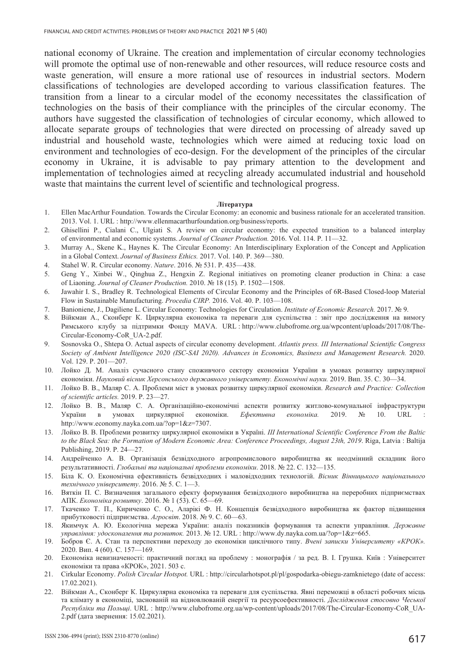national economy of Ukraine. The creation and implementation of circular economy technologies will promote the optimal use of non-renewable and other resources, will reduce resource costs and waste generation, will ensure a more rational use of resources in industrial sectors. Modern classifications of technologies are developed according to various classification features. The transition from a linear to a circular model of the economy necessitates the classification of technologies on the basis of their compliance with the principles of the circular economy. The authors have suggested the classification of technologies of circular economy, which allowed to allocate separate groups of technologies that were directed on processing of already saved up industrial and household waste, technologies which were aimed at reducing toxic load on environment and technologies of eco-design. For the development of the principles of the circular economy in Ukraine, it is advisable to pay primary attention to the development and implementation of technologies aimed at recycling already accumulated industrial and household waste that maintains the current level of scientific and technological progress.

#### **J**Iireparvpa

- 1. Ellen MacArthur Foundation. Towards the Circular Economy: an economic and business rationale for an accelerated transition. 2013. Vol. 1. URL : http://www.ellenmacarthurfoundation.org/business/reports.
- 2. Ghisellini P., Cialani C., Ulgiati S. A review on circular economy: the expected transition to a balanced interplay of environmental and economic systems. *Journal of Cleaner Production.* 2016. Vol. 114. P. 11—32.
- 3. Murray A., Skene K., Haynes K. The Circular Economy: An Interdisciplinary Exploration of the Concept and Application in a Global Context. *Journal of Business Ethics.* 2017. Vol. 140. P. 369—380.
- 4. Stahel W. R. Circular economy. *Nature*. 2016. № 531. P. 435—438.
- 5. Geng Y., Xinbei W., Qinghua Z., Hengxin Z. Regional initiatives on promoting cleaner production in China: a case of Liaoning. *Journal of Cleaner Production.* 2010. ʋ 18 (15)*.* P. 1502—1508.
- 6. Jawahir I. S., Bradley R. Technological Elements of Circular Economy and the Principles of 6R-Based Closed-loop Material Flow in Sustainable Manufacturing. *Procedia CIRP.* 2016. Vol. 40. P. 103—108.
- 7. Banioniene, J., Dagiliene L. Circular Economy: Technologies for Circulation. *Institute of Economic Research.* 2017. ʋ 9.
- 8. Війкман А., Сконберг К. Циркулярна економіка та переваги для суспільства : звіт про дослідження на вимогу Pимського клубу за підтримки Фонду MAVA. URL : http://www.clubofrome.org.ua/wpcontent/uploads/2017/08/The-Circular-Economy-CoR\_UA-2.pdf.
- 9. Sosnovska Ɉ., Shtepa Ɉ. Actual aspects of circular economy development. *Atlantis press. III International Scientific Congress Society of Ambient Intelligence 2020 (ISC-SAI 2020). Advances in Economics, Business and Management Research.* 2020. Vol. 129. P. 201—207.
- 10. Лойко Д. М. Аналіз сучасного стану споживчого сектору економіки України в умовах розвитку циркулярної економіки. Науковий вісник Херсонського державного університету. Економічні науки. 2019. Вип. 35. С. 30—34.
- 11. Лойко В. В., Маляр С. А. Проблеми міст в умовах розвитку циркулярної економіки. Research and Practice: Collection *of scientific articles.* 2019. P. 23—27.
- 12. Лойко В. В., Маляр С. А. Організаційно-економічні аспекти розвитку житлово-комунальної інфраструктури України в умовах циркулярної економіки. *Ефективна економіка*. 2019. № 10. URL http://www.economy.nayka.com.ua/?op=1&z=7307.
- 13. Лойко В. В. Проблеми розвитку циркулярної економіки в Україні. *III International Scientific Conference From the Baltic to the Black Sea: the Formation of Modern Economic Area: Conference Proceedings, August 23th, 2019*. Riga, Latvia : Baltija Publishing, 2019. P. 24-27.
- 14. Андрейченко А. В. Організація безвідходного агропромислового виробництва як неодмінний складник його результативності. *Глобальні та національні проблеми економіки*. 2018. № 22. С. 132—135.
- 15. Біла К. О. Економічна ефективність безвідходних і маловідходних технологій. Вісник Вінницького національного *технічного університету*. 2016. № 5. С. 1—3.
- 16. Вяткін П. С. Визначення загального ефекту формування безвідходного виробництва на переробних підприємствах АПК. *Економіка розвитку*. 2016. № 1 (53). С. 65—69.
- 17. Ткаченко Т. П., Кириченко С. О., Аларікі Ф. Н. Концепція безвідходного виробництва як фактор підвищення прибутковості підприємства. Агросвіт. 2018. № 9. С. 60—63.
- 18. Якимчук А. Ю. Екологічна мережа України: аналіз показників формування та аспекти управління. Державне *управління: удосконалення та розвиток.* 2013. № 12. URL : http://www.dy.nayka.com.ua/?op=1&z=665.
- 19. Бобров Є. А. Стан та перспективи переходу до економіки циклічного типу. Вчені записки Університету «КРОК». 2020. Вип. 4 (60). С. 157—169.
- 20. Економіка невизначеності: практичний погляд на проблему : монографія / за ред. В. І. Грушка. Київ : Університет економіки та права «КРОК», 2021. 503 с.
- 21. Cirkular Economy. *Polish Circular Hotspot*. URL : http://circularhotspot.pl/pl/gospodarka-obiegu-zamknietego (date of access: 17.02.2021).
- 22. Війкман А., Сконберг К. Циркулярна економіка та переваги для суспільства. Явні переможці в області робочих місць та клімату в економіці, заснованій на відновлюваній енергії та ресурсоефективності. Дослідження стосовно Чеської  $Pecny$ бліки та Польщі. URL : http://www.clubofrome.org.ua/wp-content/uploads/2017/08/The-Circular-Economy-CoR\_UA-2.pdf (дата звернення: 15.02.2021).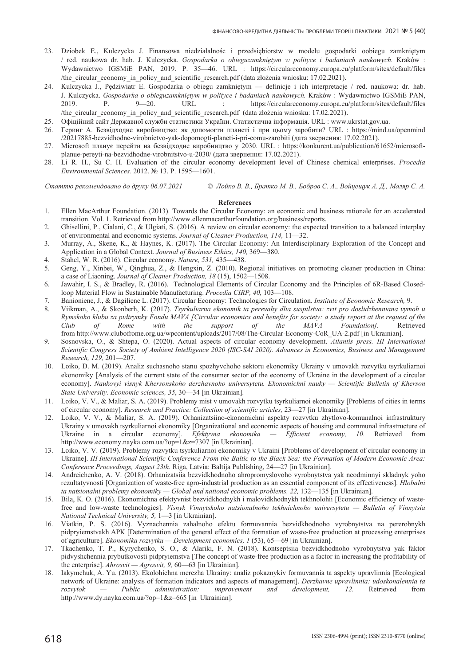- 23. Dziobek E., Kulczycka J. Finansowa niedziałalnośc i przedsiebiorstw w modelu gospodarki oobiegu zamknietym / red. naukowa dr. hab. J. Kulczycka. *Gospodarka o obieguzamkniĊtym w polityce i badaniach naukowych.* Kraków : Wydawnictwo IGSMiE PAN, 2019. P. 35—46. URL : https://circulareconomy.europa.eu/platform/sites/default/files /the\_circular\_economy\_in\_policy\_and\_scientific\_research.pdf (data złożenia wniosku: 17.02.2021).
- 24. Kulczycka J., Pedziwiatr E. Gospodarka o obiegu zamknietym definicje i ich interpretacje / red. naukowa: dr. hab. J. Kulczycka. *Gospodarka o obieguzamkniętym w polityce i badaniach naukowych.* Kraków : Wydawnictwo IGSMiE PAN, 2019. Ɋ. 9—20. URL : https://circulareconomy.europa.eu/platform/sites/default/files /the\_circular\_economy\_in\_policy\_and\_scientific\_research.pdf (data złożenia wniosku: 17.02.2021).
- 25. Офіційний сайт Державної служби статистики України. Статистична інформація. URL : www.ukrstat.gov.ua.
- 26. Геринг А. Безвідходне виробництво: як допомогти планеті і при цьому заробити? URL : https://mind.ua/openmind /20217885-bezvidhodne-virobnictvo-yak-dopomogti-planeti-i-pri-comu-zarobiti (дата звернення: 17.02.2021).
- 27. Microsoft планує перейти на безвідходне виробництво у 2030. URL : https://konkurent.ua/publication/61652/microsoftplanue-pereyti-na-bezvidhodne-virobnitstvo-u-2030/ (дата звернення: 17.02.2021).
- 28. Li R. H., Su C. H. Evaluation of the circular economy development level of Chinese chemical enterprises. *Procedia Environmental Sciences.* 2012. № 13. P. 1595-1601.

Статтю рекомендовано до друку 06.07.2021 С Лойко В. В., Братко М. В., Бобров Є. А., Войнешук А. Д., Маляр С. А.

#### **References**

- 1. Ellen MacArthur Foundation. (2013). Towards the Circular Economy: an economic and business rationale for an accelerated transition. Vol. 1. Retrieved from http://www.ellenmacarthurfoundation.org/business/reports.
- 2. Ghisellini, P., Cialani, C., & Ulgiati, S. (2016). A review on circular economy: the expected transition to a balanced interplay of environmental and economic systems. *Journal of Cleaner Production, 114,* 11—32.
- 3. Murray, A., Skene, K., & Haynes, K. (2017). The Circular Economy: An Interdisciplinary Exploration of the Concept and Application in a Global Context. *Journal of Business Ethics, 140,* 369—380.
- 4. Stahel, W. R. (2016). Circular economy. *Nature, 531,* 435—438.
- 5. Geng, Y., Xinbei, W., Qinghua, Z., & Hengxin, Z. (2010). Regional initiatives on promoting cleaner production in China: a case of Liaoning. *Journal of Cleaner Production, 18* (15), 1502—1508.
- 6. Jawahir, I. S., & Bradley, R. (2016). Technological Elements of Circular Economy and the Principles of 6R-Based Closedloop Material Flow in Sustainable Manufacturing. *Procedia CIRP, 40,* 103—108.
- 7. Banioniene, J., & Dagiliene L. (2017). Circular Economy: Technologies for Circulation. *Institute of Economic Research,* 9.
- 8. Viikman, A., & Skonberh, K. (2017). *Tsyrkuliarna ekonomik ta perevahy dlia suspilstva: zvit pro doslidzhenniana vymoh u Rymskoho klubu za pidtrymky Fondu MAVA [Circular economics and benefits for society: a study report at the request of the Club of Rome with the support of the MAVA Foundation].* Retrieved from http://www.clubofrome.org.ua/wpcontent/uploads/2017/08/The-Circular-Economy-CoR\_UA-2.pdf [in Ukrainian].
- 9. Sosnovska, Ɉ., & Shtepa, Ɉ. (2020). Actual aspects of circular economy development. *Atlantis press. III International Scientific Congress Society of Ambient Intelligence 2020 (ISC-SAI 2020). Advances in Economics, Business and Management Research, 129,* 201—207.
- 10. Loiko, D. M. (2019). Analiz suchasnoho stanu spozhyvchoho sektoru ekonomiky Ukrainy v umovakh rozvytku tsyrkuliarnoi ekonomiky [Analysis of the current state of the consumer sector of the economy of Ukraine in the development of a circular economy]. *Naukovyi visnyk Khersonskoho derzhavnoho universytetu. Ekonomichni nauky — Scientific Bulletin of Kherson State University. Economic sciences, 35*, 30—34 [in Ukrainian].
- 11. Loiko, V. V., & Maliar, S. A. (2019). Problemy mist v umovakh rozvytku tsyrkuliarnoi ekonomiky [Problems of cities in terms of circular economy]. *Research and Practice: Collection of scientific articles,* 23—27 [in Ukrainian].
- 12. Loiko, V. V., & Maliar, S. A. (2019). Orhanizatsiino-ekonomichni aspekty rozvytku zhytlovo-komunalnoi infrastruktury Ukrainy v umovakh tsyrkuliarnoi ekonomiky [Organizational and economic aspects of housing and communal infrastructure of Ukraine in a circular economy]. *Efektyvna ekonomika — Efficient economy, 10.* Retrieved from http://www.economy.nayka.com.ua/?op=1&z=7307 [in Ukrainian].
- 13. Loiko, V. V. (2019). Problemy rozvytku tsyrkuliarnoi ekonomiky v Ukraini [Problems of development of circular economy in Ukraine]. *III International Scientific Conference From the Baltic to the Black Sea: the Formation of Modern Economic Area: Conference Proceedings, August 23th.* Riga, Latvia: Baltija Publishing, 24—27 [in Ukrainian].
- 14. Andreichenko, A. V. (2018). Orhanizatsiia bezvidkhodnoho ahropromyslovoho vyrobnytstva yak neodminnyi skladnyk yoho rezultatyvnosti [Organization of waste-free agro-industrial production as an essential component of its effectiveness]. *Hlobalni ta natsionalni problemy ekonomiky — Global and national economic problems, 22,* 132—135 [in Ukrainian].
- 15. Bila, K. O. (2016). Ekonomichna efektyvnist bezvidkhodnykh i malovidkhodnykh tekhnolohii [Economic efficiency of wastefree and low-waste technologies]. *Visnyk Vinnytskoho natsionalnoho tekhnichnoho universytetu — Bulletin of Vinnytsia National Technical University, 5,* 1—3 [in Ukrainian].
- 16. Viatkin, P. S. (2016). Vyznachennia zahalnoho efektu formuvannia bezvidkhodnoho vyrobnytstva na pererobnykh pidpryiemstvakh APK [Determination of the general effect of the formation of waste-free production at processing enterprises of agriculture]. *Ekonomika rozvytku — Development economics, 1* (53), 65—69 [in Ukrainian].
- 17. Tkachenko, T. P., Kyrychenko, S. O., & Alariki, F. N. (2018). Kontseptsiia bezvidkhodnoho vyrobnytstva yak faktor pidvyshchennia prybutkovosti pidpryiemstva [The concept of waste-free production as a factor in increasing the profitability of the enterprise]. *Ahrosvit — Agrosvit, 9,* 60—63 [in Ukrainian].
- 18. Iakymchuk, A. Yu. (2013). Ekolohichna merezha Ukrainy: analiz pokaznykiv formuvannia ta aspekty upravlinnia [Ecological network of Ukraine: analysis of formation indicators and aspects of management]. *Derzhavne upravlinnia: udoskonalennia ta rozvytok — Public administration: improvement and development, 12.* Retrieved from http://www.dy.nayka.com.ua/?op=1&z=665 [in Ukrainian].